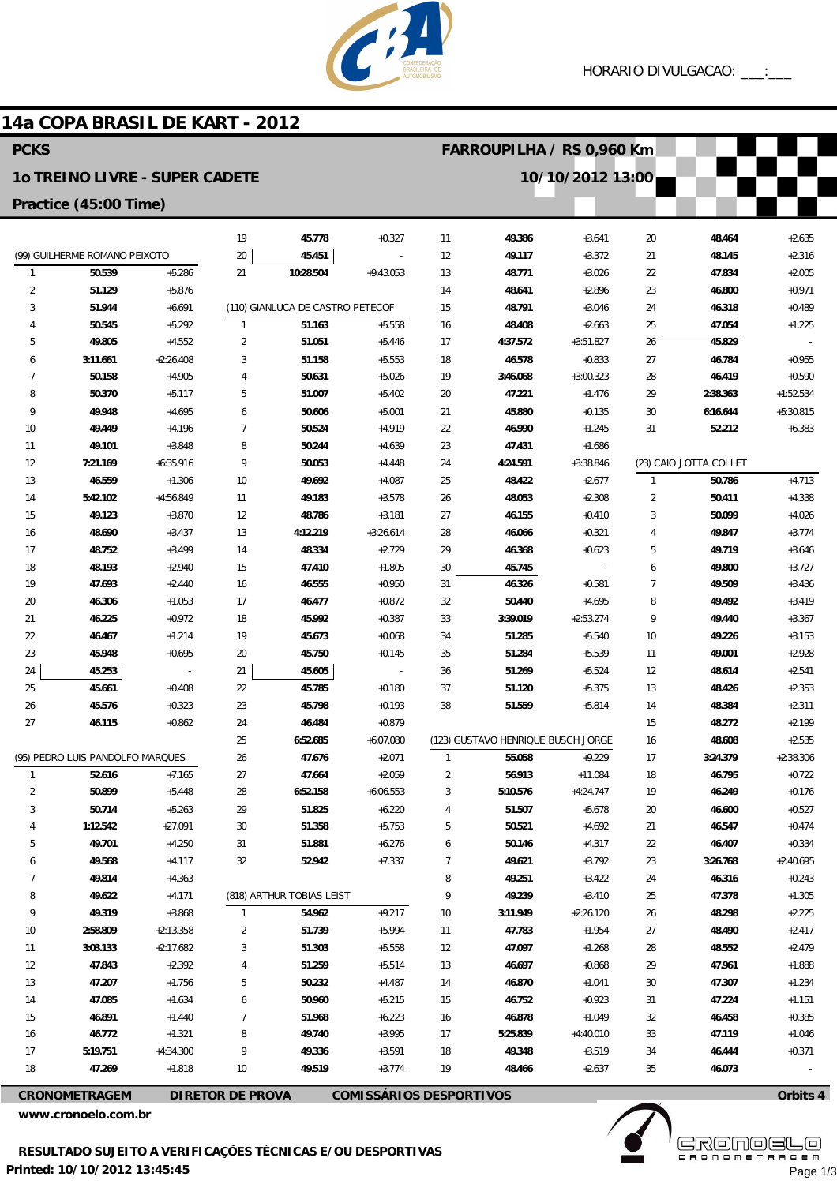

## 14a COPA BRASIL DE KART - 2012

| <b>PCKS</b>                           |                                  |                         |                     |                                  |                         | FARROUPILHA / RS 0,960 Km |                                    |                         |                     |                        |                      |
|---------------------------------------|----------------------------------|-------------------------|---------------------|----------------------------------|-------------------------|---------------------------|------------------------------------|-------------------------|---------------------|------------------------|----------------------|
| <b>10 TREINO LIVRE - SUPER CADETE</b> |                                  |                         |                     |                                  |                         |                           |                                    | 10/10/2012 13:00        |                     |                        |                      |
| Practice (45:00 Time)                 |                                  |                         |                     |                                  |                         |                           |                                    |                         |                     |                        |                      |
|                                       |                                  |                         | 19                  | 45.778                           | $+0.327$                | 11                        | 49.386                             | $+3.641$                | 20                  | 48.464                 | $+2.635$             |
|                                       | (99) GUILHERME ROMANO PEIXOTO    |                         | 20                  | 45.451                           |                         | 12                        | 49.117                             | $+3.372$                | 21                  | 48.145                 | $+2.316$             |
| $\mathbf{1}$                          | 50.539                           | $+5.286$                | 21                  | 10:28.504                        | $+9:43.053$             | 13                        | 48.771                             | $+3.026$                | 22                  | 47.834                 | $+2.005$             |
| $\overline{2}$                        | 51.129                           | $+5.876$                |                     |                                  |                         | 14                        | 48.641                             | $+2.896$                | 23                  | 46.800                 | $+0.971$             |
| 3                                     | 51.944                           | $+6.691$                |                     | (110) GIANLUCA DE CASTRO PETECOF |                         | 15                        | 48.791                             | $+3.046$                | 24                  | 46.318                 | $+0.489$             |
| 4                                     | 50.545                           | $+5.292$                | $\mathbf{1}$        | 51.163                           | $+5.558$                | 16                        | 48.408                             | $+2.663$                | 25                  | 47.054                 | $+1.225$             |
| 5                                     | 49.805                           | $+4.552$                | $\overline{2}$      | 51.051                           | $+5.446$                | 17                        | 4:37.572                           | $+3:51.827$             | 26                  | 45.829                 |                      |
| 6                                     | 3:11.661                         | $+2:26.408$             | 3                   | 51.158                           | $+5.553$                | 18                        | 46.578                             | $+0.833$                | 27                  | 46.784                 | $+0.955$             |
| 7                                     | 50.158                           | $+4.905$                | $\overline{4}$      | 50.631                           | $+5.026$                | 19                        | 3:46.068                           | $+3:00.323$             | 28                  | 46.419                 | $+0.590$             |
| 8                                     | 50.370                           | $+5.117$                | 5                   | 51.007                           | $+5.402$                | 20                        | 47.221                             | $+1.476$                | 29                  | 2:38.363               | $+1:52.534$          |
| 9                                     | 49.948                           | $+4.695$                | 6                   | 50.606                           | $+5.001$                | 21                        | 45.880                             | $+0.135$                | 30                  | 6:16.644               | $+5:30.815$          |
| 10                                    | 49.449                           | $+4.196$                | 7                   | 50.524                           | $+4.919$                | 22                        | 46.990                             | $+1.245$                | 31                  | 52.212                 | $+6.383$             |
| 11                                    | 49.101                           | $+3.848$                | 8                   | 50.244                           | $+4.639$                | 23                        | 47.431                             | $+1.686$                |                     |                        |                      |
| 12                                    | 7:21.169                         | $+6:35.916$             | 9                   | 50.053                           | $+4.448$                | 24                        | 4:24.591                           | $+3:38.846$             |                     | (23) CAIO JOTTA COLLET |                      |
| 13                                    | 46.559                           | $+1.306$                | 10                  | 49.692                           | $+4.087$                | 25                        | 48.422                             | $+2.677$                | $\mathbf{1}$        | 50.786                 | $+4.713$             |
| 14                                    | 5:42.102                         | $+4:56.849$             | 11                  | 49.183                           | $+3.578$                | 26                        | 48.053                             | $+2.308$                | $\overline{2}$      | 50.411                 | $+4.338$             |
| 15                                    | 49.123                           | $+3.870$<br>$+3.437$    | 12<br>13            | 48.786<br>4:12.219               | $+3.181$<br>$+3:26.614$ | 27                        | 46.155                             | $+0.410$<br>$+0.321$    | 3<br>$\overline{4}$ | 50.099                 | $+4.026$<br>$+3.774$ |
| 16<br>17                              | 48.690<br>48.752                 | $+3.499$                | 14                  | 48.334                           | $+2.729$                | 28<br>29                  | 46.066<br>46.368                   | $+0.623$                | 5                   | 49.847<br>49.719       | $+3.646$             |
| 18                                    | 48.193                           | $+2.940$                | 15                  | 47.410                           | $+1.805$                | 30                        | 45.745                             |                         | 6                   | 49.800                 | $+3.727$             |
| 19                                    | 47.693                           | $+2.440$                | 16                  | 46.555                           | $+0.950$                | 31                        | 46.326                             | $+0.581$                | $\overline{7}$      | 49.509                 | $+3.436$             |
| 20                                    | 46.306                           | $+1.053$                | 17                  | 46.477                           | $+0.872$                | 32                        | 50.440                             | $+4.695$                | 8                   | 49.492                 | $+3.419$             |
| 21                                    | 46.225                           | $+0.972$                | 18                  | 45.992                           | $+0.387$                | 33                        | 3:39.019                           | $+2:53.274$             | 9                   | 49.440                 | $+3.367$             |
| 22                                    | 46.467                           | $+1.214$                | 19                  | 45.673                           | $+0.068$                | 34                        | 51.285                             | $+5.540$                | 10                  | 49.226                 | $+3.153$             |
| 23                                    | 45.948                           | $+0.695$                | 20                  | 45.750                           | $+0.145$                | 35                        | 51.284                             | $+5.539$                | 11                  | 49.001                 | $+2.928$             |
| 24                                    | 45.253                           |                         | 21                  | 45.605                           | $\overline{a}$          | 36                        | 51.269                             | $+5.524$                | 12                  | 48.614                 | $+2.541$             |
| 25                                    | 45.661                           | $+0.408$                | 22                  | 45.785                           | $+0.180$                | 37                        | 51.120                             | $+5.375$                | 13                  | 48.426                 | $+2.353$             |
| 26                                    | 45.576                           | $+0.323$                | 23                  | 45.798                           | $+0.193$                | 38                        | 51.559                             | $+5.814$                | 14                  | 48.384                 | $+2.311$             |
| 27                                    | 46.115                           | $+0.862$                | 24                  | 46.484                           | $+0.879$                |                           |                                    |                         | 15                  | 48.272                 | $+2.199$             |
|                                       |                                  |                         | 25                  | 6:52.685                         | $+6:07.080$             |                           | (123) GUSTAVO HENRIQUE BUSCH JORGE |                         | 16                  | 48.608                 | $+2.535$             |
|                                       | (95) PEDRO LUIS PANDOLFO MARQUES |                         | 26                  | 47.676                           | $+2.071$                | $\mathbf{1}$              | 55.058                             | $+9.229$                | 17                  | 3:24.379               | $+2:38.306$          |
|                                       | 52.616                           | $+7.165$                | 27                  | 47.664                           | $+2.059$                | 2                         | 56.913                             | $+11.084$               | 18                  | 46.795                 | +0.722               |
| 2                                     | 50.899                           | $+5.448$                | 28                  | 6:52.158                         | $+6:06.553$             | 3                         | 5:10.576                           | $+4:24.747$             | 19                  | 46.249                 | $+0.176$             |
| 3                                     | 50.714                           | $+5.263$                | 29                  | 51.825                           | $+6.220$                | 4                         | 51.507                             | $+5.678$                | $20\,$              | 46.600                 | $+0.527$             |
| 4                                     | 1:12.542                         | $+27.091$               | $30\,$              | 51.358                           | $+5.753$                | 5                         | 50.521                             | $+4.692$                | 21                  | 46.547                 | $+0.474$             |
| 5                                     | 49.701                           | $+4.250$                | 31                  | 51.881                           | $+6.276$                | 6                         | 50.146                             | $+4.317$                | 22                  | 46.407                 | $+0.334$             |
| 6                                     | 49.568                           | $+4.117$                | 32                  | 52.942                           | $+7.337$                | $\overline{7}$            | 49.621                             | $+3.792$                | 23                  | 3:26.768               | $+2:40.695$          |
| 7                                     | 49.814                           | $+4.363$                |                     |                                  |                         | 8                         | 49.251                             | $+3.422$                | 24                  | 46.316                 | $+0.243$             |
| 8                                     | 49.622                           | $+4.171$                |                     | (818) ARTHUR TOBIAS LEIST        |                         | 9                         | 49.239                             | $+3.410$                | 25                  | 47.378                 | $+1.305$             |
| 9                                     | 49.319                           | $+3.868$                | $\mathbf{1}$        | 54.962                           | $+9.217$                | 10                        | 3:11.949                           | $+2:26.120$             | 26                  | 48.298                 | $+2.225$             |
| $10$                                  | 2:58.809                         | $+2:13.358$             | $\overline{2}$      | 51.739                           | $+5.994$                | 11                        | 47.783                             | $+1.954$                | 27                  | 48.490                 | $+2.417$             |
| 11                                    | 3:03.133                         | $+2:17.682$             | 3                   | 51.303                           | $+5.558$                | 12                        | 47.097                             | $+1.268$                | 28                  | 48.552                 | $+2.479$             |
| 12                                    | 47.843                           | $+2.392$                | 4                   | 51.259                           | $+5.514$                | 13                        | 46.697                             | $+0.868$                | 29                  | 47.961                 | $+1.888$             |
| 13                                    | 47.207                           | $+1.756$                | 5                   | 50.232                           | $+4.487$                | 14                        | 46.870                             | $+1.041$                | 30                  | 47.307                 | $+1.234$             |
| 14                                    | 47.085                           | $+1.634$                | 6                   | 50.960                           | $+5.215$                | 15                        | 46.752                             | $+0.923$                | 31                  | 47.224                 | $+1.151$             |
| 15                                    | 46.891<br>46.772                 | $+1.440$                | $\overline{7}$<br>8 | 51.968<br>49.740                 | $+6.223$                | 16                        | 46.878<br>5:25.839                 | $+1.049$                | 32<br>33            | 46.458<br>47.119       | $+0.385$<br>$+1.046$ |
| 16<br>17                              | 5:19.751                         | $+1.321$<br>$+4:34.300$ | 9                   | 49.336                           | $+3.995$<br>$+3.591$    | 17<br>18                  | 49.348                             | $+4:40.010$<br>$+3.519$ | 34                  | 46.444                 | $+0.371$             |
| 18                                    | 47.269                           | $+1.818$                | $10$                | 49.519                           | $+3.774$                | 19                        | 48.466                             | $+2.637$                | 35                  | 46.073                 |                      |
|                                       |                                  |                         |                     |                                  |                         |                           |                                    |                         |                     |                        |                      |

**CRONOMETRAGEM** 

DIRETOR DE PROVA COMISSÁRIOS DESPORTIVOS

www.cronoelo.com.br



Page 1/3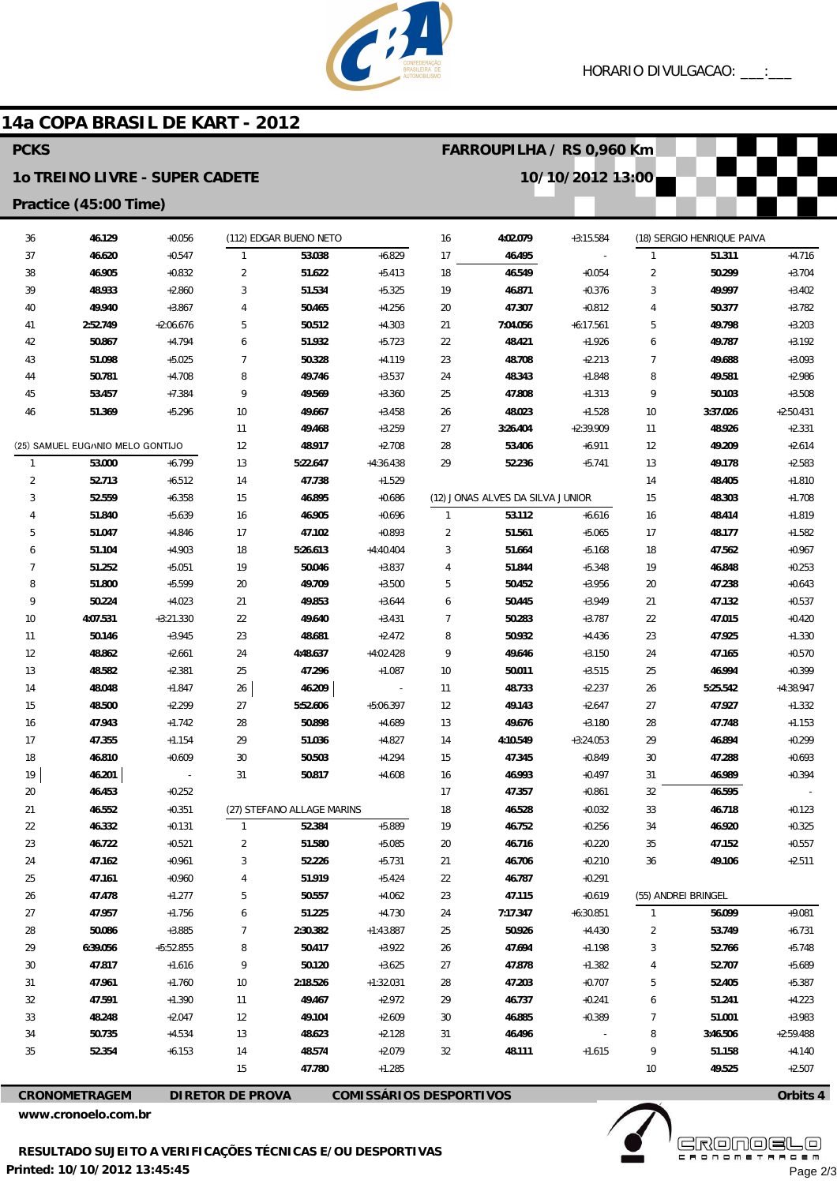

FARROUPILHA / RS 0,960 Km

10/10/2012 13:00

# 14a COPA BRASIL DE KART - 2012

## **PCKS**

#### 10 TREINO LIVRE - SUPER CADETE

### Practice (45:00 Time)

| 36             | 46.129                           | $+0.056$                 |                | (112) EDGAR BUENO NETO     |                              | 16             | 4:02.079                         | $+3:15.584$ |                | (18) SERGIO HENRIQUE PAIVA |             |
|----------------|----------------------------------|--------------------------|----------------|----------------------------|------------------------------|----------------|----------------------------------|-------------|----------------|----------------------------|-------------|
| 37             | 46.620                           | $+0.547$                 | $\mathbf{1}$   | 53.038                     | $+6.829$                     | 17             | 46.495                           |             | $\mathbf{1}$   | 51.311                     | $+4.716$    |
| 38             | 46.905                           | $+0.832$                 | $\overline{2}$ | 51.622                     | $+5.413$                     | 18             | 46.549                           | $+0.054$    | $\overline{2}$ | 50.299                     | $+3.704$    |
| 39             | 48.933                           | $+2.860$                 | 3              | 51.534                     | $+5.325$                     | 19             | 46.871                           | $+0.376$    | 3              | 49.997                     | $+3.402$    |
| 40             | 49.940                           | $+3.867$                 | $\overline{4}$ | 50.465                     | $+4.256$                     | 20             | 47.307                           | $+0.812$    | 4              | 50.377                     | $+3.782$    |
| 41             | 2:52.749                         | $+2:06.676$              | 5              | 50.512                     | $+4.303$                     | 21             | 7:04.056                         | $+6:17.561$ | 5              | 49.798                     | $+3.203$    |
| 42             | 50.867                           | $+4.794$                 | 6              | 51.932                     | $+5.723$                     | 22             | 48.421                           | $+1.926$    | 6              | 49.787                     | $+3.192$    |
| 43             | 51.098                           | $+5.025$                 | $\overline{7}$ | 50.328                     | $+4.119$                     | 23             | 48.708                           | $+2.213$    | 7              | 49.688                     | $+3.093$    |
| 44             | 50.781                           | $+4.708$                 | 8              | 49.746                     | $+3.537$                     | 24             | 48.343                           | $+1.848$    | 8              | 49.581                     | $+2.986$    |
| 45             | 53.457                           | $+7.384$                 | 9              | 49.569                     | $+3.360$                     | 25             | 47.808                           | $+1.313$    | 9              | 50.103                     | $+3.508$    |
| 46             | 51.369                           | $+5.296$                 | 10             | 49.667                     | $+3.458$                     | 26             | 48.023                           | $+1.528$    | 10             | 3:37.026                   | $+2:50.431$ |
|                |                                  |                          | 11             | 49.468                     | $+3.259$                     | 27             | 3:26.404                         | $+2:39.909$ | 11             | 48.926                     | $+2.331$    |
|                | (25) SAMUEL EUG/NIO MELO GONTIJO |                          | 12             | 48.917                     | $+2.708$                     | 28             | 53.406                           | $+6.911$    | 12             | 49.209                     | $+2.614$    |
| $\mathbf{1}$   | 53.000                           | $+6.799$                 | 13             | 5:22.647                   | $+4:36.438$                  | 29             | 52.236                           | $+5.741$    | 13             | 49.178                     | $+2.583$    |
| $\overline{2}$ | 52.713                           | $+6.512$                 | 14             | 47.738                     | $+1.529$                     |                |                                  |             | 14             | 48.405                     | $+1.810$    |
| 3              | 52.559                           | $+6.358$                 | 15             | 46.895                     | $+0.686$                     |                | (12) JONAS ALVES DA SILVA JUNIOR |             | 15             | 48.303                     | $+1.708$    |
| 4              | 51.840                           | $+5.639$                 | 16             | 46.905                     | $+0.696$                     | $\mathbf{1}$   | 53.112                           | $+6.616$    | 16             | 48.414                     | $+1.819$    |
| 5              | 51.047                           | $+4.846$                 | 17             | 47.102                     | $+0.893$                     | $\overline{c}$ | 51.561                           | $+5.065$    | 17             | 48.177                     | $+1.582$    |
| 6              | 51.104                           | $+4.903$                 | 18             | 5:26.613                   | $+4:40.404$                  | 3              | 51.664                           | $+5.168$    | 18             | 47.562                     | $+0.967$    |
| $\overline{7}$ | 51.252                           | $+5.051$                 | 19             | 50.046                     | $+3.837$                     | 4              | 51.844                           | $+5.348$    | 19             | 46.848                     | $+0.253$    |
| 8              | 51.800                           | $+5.599$                 | 20             | 49.709                     | $+3.500$                     | 5              | 50.452                           | $+3.956$    | 20             | 47.238                     | $+0.643$    |
| 9              | 50.224                           | $+4.023$                 | 21             | 49.853                     | $+3.644$                     | 6              | 50.445                           | $+3.949$    | 21             | 47.132                     | $+0.537$    |
| 10             | 4:07.531                         | $+3:21.330$              | 22             | 49.640                     | $+3.431$                     | 7              | 50.283                           | $+3.787$    | 22             | 47.015                     | $+0.420$    |
| 11             | 50.146                           | $+3.945$                 | 23             | 48.681                     | $+2.472$                     | 8              | 50.932                           | $+4.436$    | 23             | 47.925                     | $+1.330$    |
| 12             | 48.862                           | $+2.661$                 | 24             | 4:48.637                   | +4:02.428                    | 9              | 49.646                           | $+3.150$    | 24             | 47.165                     | $+0.570$    |
| 13             | 48.582                           | $+2.381$                 | 25             | 47.296                     | $+1.087$                     | 10             | 50.011                           | $+3.515$    | 25             | 46.994                     | $+0.399$    |
| 14             | 48.048                           | $+1.847$                 | 26             | 46.209                     | $\qquad \qquad \blacksquare$ | 11             | 48.733                           | $+2.237$    | 26             | 5:25.542                   | $+4:38.947$ |
| 15             | 48.500                           | $+2.299$                 | 27             | 5:52.606                   | $+5:06.397$                  | 12             | 49.143                           | $+2.647$    | 27             | 47.927                     | $+1.332$    |
| 16             | 47.943                           | $+1.742$                 | 28             | 50.898                     | $+4.689$                     | 13             | 49.676                           | $+3.180$    | 28             | 47.748                     | $+1.153$    |
| 17             | 47.355                           | $+1.154$                 | 29             | 51.036                     | $+4.827$                     | 14             | 4:10.549                         | $+3:24.053$ | 29             | 46.894                     | $+0.299$    |
| 18             | 46.810                           | $+0.609$                 | 30             | 50.503                     | $+4.294$                     | 15             | 47.345                           | $+0.849$    | 30             | 47.288                     | $+0.693$    |
| 19             | 46.201                           | $\overline{\phantom{a}}$ | 31             | 50.817                     | $+4.608$                     | 16             | 46.993                           | $+0.497$    | 31             | 46.989                     | $+0.394$    |
| 20             | 46.453                           | $+0.252$                 |                |                            |                              | 17             | 47.357                           | $+0.861$    | 32             | 46.595                     |             |
| 21             | 46.552                           | $+0.351$                 |                | (27) STEFANO ALLAGE MARINS |                              | 18             | 46.528                           | $+0.032$    | 33             | 46.718                     | $+0.123$    |
| 22             | 46.332                           | $+0.131$                 | 1              | 52.384                     | $+5.889$                     | 19             | 46.752                           | $+0.256$    | 34             | 46.920                     | $+0.325$    |
| 23             | 46.722                           | $+0.521$                 | $\overline{2}$ | 51.580                     | $+5.085$                     | 20             | 46.716                           | $+0.220$    | 35             | 47.152                     | $+0.557$    |
| 24             | 47.162                           | $+0.961$                 | 3              | 52.226                     | $+5.731$                     | 21             | 46.706                           | $+0.210$    | 36             | 49.106                     | $+2.511$    |
| 25             | 47.161                           | $+0.960$                 | 4              | 51.919                     | $+5.424$                     | 22             | 46.787                           | $+0.291$    |                |                            |             |
| 26             | 47.478                           | $+1.277$                 | 5              | 50.557                     | $+4.062$                     | 23             | 47.115                           | $+0.619$    |                | (55) ANDREI BRINGEL        |             |
| 27             | 47.957                           | $+1.756$                 | 6              | 51.225                     | $+4.730$                     | 24             | 7:17.347                         | $+6:30.851$ | $\mathbf{1}$   | 56.099                     | $+9.081$    |
| 28             | 50.086                           | $+3.885$                 | $\overline{7}$ | 2:30.382                   | $+1:43.887$                  | 25             | 50.926                           | $+4.430$    | 2              | 53.749                     | $+6.731$    |
| 29             | 6:39.056                         | +5:52.855                | 8              | 50.417                     | $+3.922$                     | 26             | 47.694                           | $+1.198$    | 3              | 52.766                     | $+5.748$    |
| $30\,$         | 47.817                           | $+1.616$                 | 9              | 50.120                     | $+3.625$                     | 27             | 47.878                           | $+1.382$    | 4              | 52.707                     | $+5.689$    |
| 31             | 47.961                           | $+1.760$                 | 10             | 2:18.526                   | $+1:32.031$                  | 28             | 47.203                           | $+0.707$    | 5              | 52.405                     | $+5.387$    |
| 32             | 47.591                           | $+1.390$                 | 11             | 49.467                     | $+2.972$                     | 29             | 46.737                           | $+0.241$    | 6              | 51.241                     | $+4.223$    |
| 33             | 48.248                           | $+2.047$                 | 12             | 49.104                     | $+2.609$                     | 30             | 46.885                           | $+0.389$    | $\overline{7}$ | 51.001                     | $+3.983$    |
| 34             | 50.735                           | $+4.534$                 | 13             | 48.623                     | $+2.128$                     | 31             | 46.496                           | $\sim$      | 8              | 3:46.506                   | $+2:59.488$ |
| 35             | 52.354                           | $+6.153$                 | 14             | 48.574                     | $+2.079$                     | 32             | 48.111                           | $+1.615$    | 9              | 51.158                     | $+4.140$    |
|                |                                  |                          | 15             | 47.780                     | $+1.285$                     |                |                                  |             | 10             | 49.525                     | $+2.507$    |

CRONOMETRAGEM **DIRETOR DE PROVA** 

**COMISSÁRIOS DESPORTIVOS** 

www.cronoelo.com.br

Printed: 10/10/2012 13:45:45



Orbits 4

**EKÖUÖELE** Page 2/3